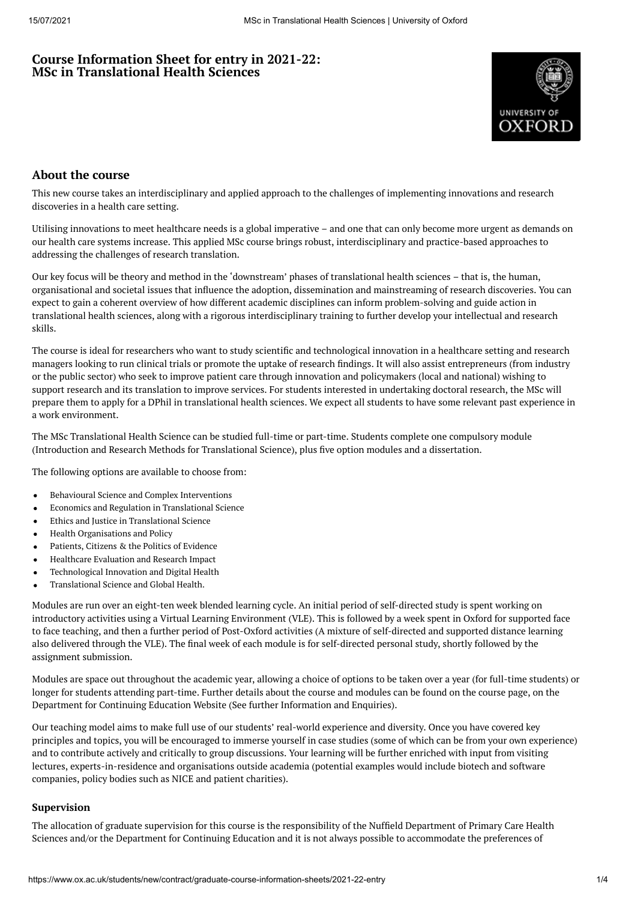# **Course Information Sheet for entry in 2021-22: MSc in Translational Health Sciences**



# **About the course**

This new course takes an interdisciplinary and applied approach to the challenges of implementing innovations and research discoveries in a health care setting.

Utilising innovations to meet healthcare needs is a global imperative – and one that can only become more urgent as demands on our health care systems increase. This applied MSc course brings robust, interdisciplinary and practice-based approaches to addressing the challenges of research translation.

Our key focus will be theory and method in the 'downstream' phases of translational health sciences – that is, the human, organisational and societal issues that influence the adoption, dissemination and mainstreaming of research discoveries. You can expect to gain a coherent overview of how different academic disciplines can inform problem-solving and guide action in translational health sciences, along with a rigorous interdisciplinary training to further develop your intellectual and research skills.

The course is ideal for researchers who want to study scientific and technological innovation in a healthcare setting and research managers looking to run clinical trials or promote the uptake of research findings. It will also assist entrepreneurs (from industry or the public sector) who seek to improve patient care through innovation and policymakers (local and national) wishing to support research and its translation to improve services. For students interested in undertaking doctoral research, the MSc will prepare them to apply for a DPhil in translational health sciences. We expect all students to have some relevant past experience in a work environment.

The MSc Translational Health Science can be studied full-time or part-time. Students complete one compulsory module (Introduction and Research Methods for Translational Science), plus five option modules and a dissertation.

The following options are available to choose from:

- Behavioural Science and Complex Interventions
- Economics and Regulation in Translational Science
- Ethics and Justice in Translational Science  $\bullet$
- $\bullet$ Health Organisations and Policy
- Patients, Citizens & the Politics of Evidence
- $\bullet$ Healthcare Evaluation and Research Impact
- Technological Innovation and Digital Health  $\ddot{\phantom{a}}$
- $\bullet$ Translational Science and Global Health.

Modules are run over an eight-ten week blended learning cycle. An initial period of self-directed study is spent working on introductory activities using a Virtual Learning Environment (VLE). This is followed by a week spent in Oxford for supported face to face teaching, and then a further period of Post-Oxford activities (A mixture of self-directed and supported distance learning also delivered through the VLE). The final week of each module is for self-directed personal study, shortly followed by the assignment submission.

Modules are space out throughout the academic year, allowing a choice of options to be taken over a year (for full-time students) or longer for students attending part-time. Further details about the course and modules can be found on the course page, on the Department for Continuing Education Website (See further Information and Enquiries).

Our teaching model aims to make full use of our students' real-world experience and diversity. Once you have covered key principles and topics, you will be encouraged to immerse yourself in case studies (some of which can be from your own experience) and to contribute actively and critically to group discussions. Your learning will be further enriched with input from visiting lectures, experts-in-residence and organisations outside academia (potential examples would include biotech and software companies, policy bodies such as NICE and patient charities).

## **Supervision**

The allocation of graduate supervision for this course is the responsibility of the Nuffield Department of Primary Care Health Sciences and/or the Department for Continuing Education and it is not always possible to accommodate the preferences of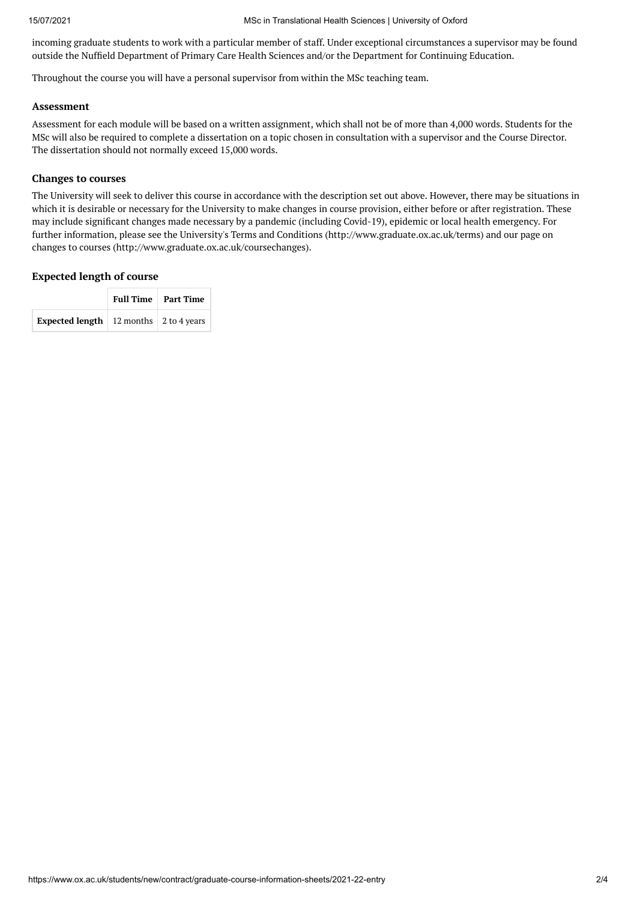incoming graduate students to work with a particular member of staff. Under exceptional circumstances a supervisor may be found outside the Nuffield Department of Primary Care Health Sciences and/or the Department for Continuing Education.

Throughout the course you will have a personal supervisor from within the MSc teaching team.

## **Assessment**

Assessment for each module will be based on a written assignment, which shall not be of more than 4,000 words. Students for the MSc will also be required to complete a dissertation on a topic chosen in consultation with a supervisor and the Course Director. The dissertation should not normally exceed 15,000 words.

### **Changes to courses**

The University will seek to deliver this course in accordance with the description set out above. However, there may be situations in which it is desirable or necessary for the University to make changes in course provision, either before or after registration. These may include significant changes made necessary by a pandemic (including Covid-19), epidemic or local health emergency. For further information, please see the University's Terms and Conditions (http://www.graduate.ox.ac.uk/terms) and our page on changes to courses (http://www.graduate.ox.ac.uk/coursechanges).

## **Expected length of course**

|                                                   | Full Time   Part Time |  |  |
|---------------------------------------------------|-----------------------|--|--|
| <b>Expected length</b>   12 months   2 to 4 years |                       |  |  |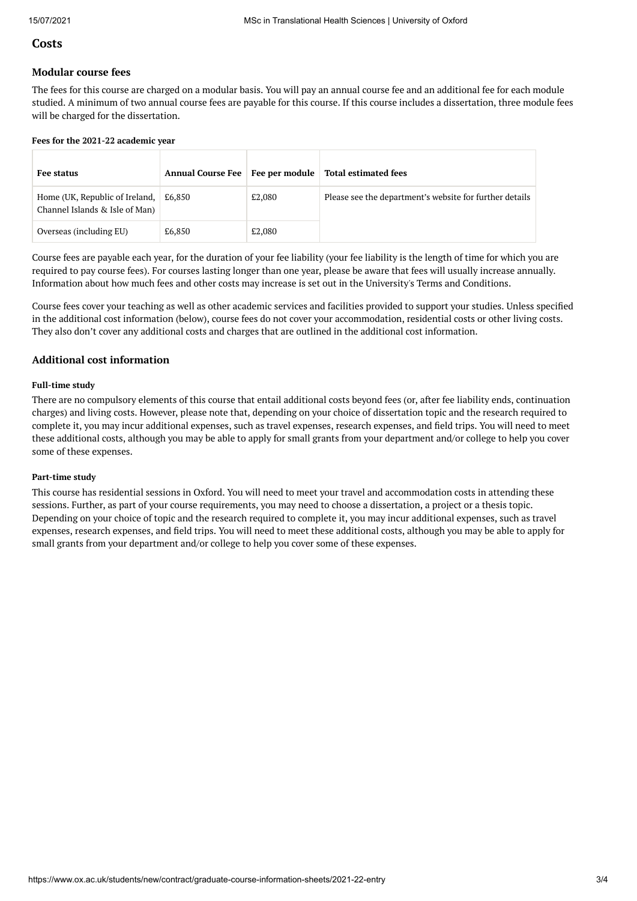# **Costs**

## **Modular course fees**

The fees for this course are charged on a modular basis. You will pay an annual course fee and an additional fee for each module studied. A minimum of two annual course fees are payable for this course. If this course includes a dissertation, three module fees will be charged for the dissertation.

#### **Fees for the 2021-22 academic year**

| Fee status                                                       | <b>Annual Course Fee</b> | Fee per module | <b>Total estimated fees</b>                             |
|------------------------------------------------------------------|--------------------------|----------------|---------------------------------------------------------|
| Home (UK, Republic of Ireland,<br>Channel Islands & Isle of Man) | £6.850                   | £2,080         | Please see the department's website for further details |
| Overseas (including EU)                                          | £6,850                   | £2,080         |                                                         |

Course fees are payable each year, for the duration of your fee liability (your fee liability is the length of time for which you are required to pay course fees). For courses lasting longer than one year, please be aware that fees will usually increase annually. Information about how much fees and other costs may increase is set out in the University's Terms and Conditions.

Course fees cover your teaching as well as other academic services and facilities provided to support your studies. Unless specified in the additional cost information (below), course fees do not cover your accommodation, residential costs or other living costs. They also don't cover any additional costs and charges that are outlined in the additional cost information.

## **Additional cost information**

#### **Full-time study**

There are no compulsory elements of this course that entail additional costs beyond fees (or, after fee liability ends, continuation charges) and living costs. However, please note that, depending on your choice of dissertation topic and the research required to complete it, you may incur additional expenses, such as travel expenses, research expenses, and field trips. You will need to meet these additional costs, although you may be able to apply for small grants from your department and/or college to help you cover some of these expenses.

#### **Part-time study**

This course has residential sessions in Oxford. You will need to meet your travel and accommodation costs in attending these sessions. Further, as part of your course requirements, you may need to choose a dissertation, a project or a thesis topic. Depending on your choice of topic and the research required to complete it, you may incur additional expenses, such as travel expenses, research expenses, and field trips. You will need to meet these additional costs, although you may be able to apply for small grants from your department and/or college to help you cover some of these expenses.